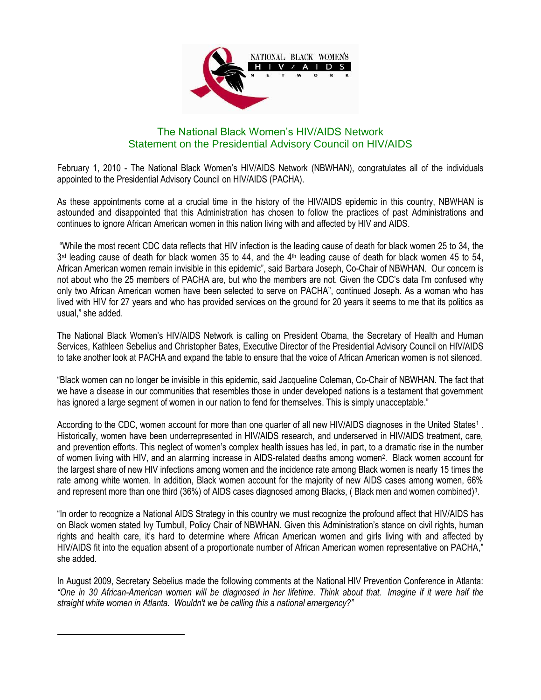

## The National Black Women's HIV/AIDS Network Statement on the Presidential Advisory Council on HIV/AIDS

February 1, 2010 - The National Black Women's HIV/AIDS Network (NBWHAN), congratulates all of the individuals appointed to the Presidential Advisory Council on HIV/AIDS (PACHA).

As these appointments come at a crucial time in the history of the HIV/AIDS epidemic in this country, NBWHAN is astounded and disappointed that this Administration has chosen to follow the practices of past Administrations and continues to ignore African American women in this nation living with and affected by HIV and AIDS.

"While the most recent CDC data reflects that HIV infection is the leading cause of death for black women 25 to 34, the 3<sup>rd</sup> leading cause of death for black women 35 to 44, and the 4<sup>th</sup> leading cause of death for black women 45 to 54, African American women remain invisible in this epidemic", said Barbara Joseph, Co-Chair of NBWHAN. Our concern is not about who the 25 members of PACHA are, but who the members are not. Given the CDC's data I'm confused why only two African American women have been selected to serve on PACHA", continued Joseph. As a woman who has lived with HIV for 27 years and who has provided services on the ground for 20 years it seems to me that its politics as usual," she added.

The National Black Women's HIV/AIDS Network is calling on President Obama, the Secretary of Health and Human Services, Kathleen Sebelius and Christopher Bates, Executive Director of the Presidential Advisory Council on HIV/AIDS to take another look at PACHA and expand the table to ensure that the voice of African American women is not silenced.

"Black women can no longer be invisible in this epidemic, said Jacqueline Coleman, Co-Chair of NBWHAN. The fact that we have a disease in our communities that resembles those in under developed nations is a testament that government has ignored a large segment of women in our nation to fend for themselves. This is simply unacceptable."

According to the CDC, women account for more than one quarter of all new HIV/AIDS diagnoses in the United States<sup>1</sup>. Historically, women have been underrepresented in HIV/AIDS research, and underserved in HIV/AIDS treatment, care, and prevention efforts. This neglect of women's complex health issues has led, in part, to a dramatic rise in the number of women living with HIV, and an alarming increase in AIDS-related deaths among women<sup>2</sup>. Black women account for the largest share of new HIV infections among women and the incidence rate among Black women is nearly 15 times the rate among white women. In addition, Black women account for the majority of new AIDS cases among women, 66% and represent more than one third (36%) of AIDS cases diagnosed among Blacks, (Black men and women combined)<sup>3</sup>.

"In order to recognize a National AIDS Strategy in this country we must recognize the profound affect that HIV/AIDS has on Black women stated Ivy Turnbull, Policy Chair of NBWHAN. Given this Administration's stance on civil rights, human rights and health care, it's hard to determine where African American women and girls living with and affected by HIV/AIDS fit into the equation absent of a proportionate number of African American women representative on PACHA," she added.

In August 2009, Secretary Sebelius made the following comments at the National HIV Prevention Conference in Atlanta: *"One in 30 African-American women will be diagnosed in her lifetime. Think about that. Imagine if it were half the straight white women in Atlanta. Wouldn't we be calling this a national emergency?"*

 $\overline{a}$